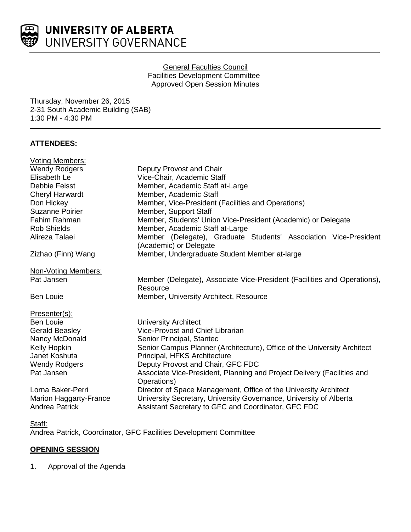

## General Faculties Council Facilities Development Committee Approved Open Session Minutes

Thursday, November 26, 2015 2-31 South Academic Building (SAB) 1:30 PM - 4:30 PM

# **ATTENDEES:**

| <b>Voting Members:</b>                                 |                                                                                                                           |
|--------------------------------------------------------|---------------------------------------------------------------------------------------------------------------------------|
| <b>Wendy Rodgers</b>                                   | Deputy Provost and Chair                                                                                                  |
| Elisabeth Le                                           | Vice-Chair, Academic Staff                                                                                                |
| Debbie Feisst                                          | Member, Academic Staff at-Large                                                                                           |
| Cheryl Harwardt                                        | Member, Academic Staff                                                                                                    |
| Don Hickey                                             | Member, Vice-President (Facilities and Operations)                                                                        |
| <b>Suzanne Poirier</b>                                 | Member, Support Staff                                                                                                     |
| Fahim Rahman                                           | Member, Students' Union Vice-President (Academic) or Delegate                                                             |
| <b>Rob Shields</b>                                     | Member, Academic Staff at-Large                                                                                           |
| Alireza Talaei                                         | Member (Delegate), Graduate Students' Association Vice-President<br>(Academic) or Delegate                                |
| Zizhao (Finn) Wang                                     | Member, Undergraduate Student Member at-large                                                                             |
| <b>Non-Voting Members:</b>                             |                                                                                                                           |
| Pat Jansen                                             | Member (Delegate), Associate Vice-President (Facilities and Operations),<br>Resource                                      |
| <b>Ben Louie</b>                                       | Member, University Architect, Resource                                                                                    |
| Presenter(s):                                          |                                                                                                                           |
| <b>Ben Louie</b>                                       | <b>University Architect</b>                                                                                               |
| <b>Gerald Beasley</b>                                  | Vice-Provost and Chief Librarian                                                                                          |
| Nancy McDonald                                         | Senior Principal, Stantec                                                                                                 |
| Kelly Hopkin                                           | Senior Campus Planner (Architecture), Office of the University Architect                                                  |
| Janet Koshuta                                          | Principal, HFKS Architecture                                                                                              |
| <b>Wendy Rodgers</b>                                   | Deputy Provost and Chair, GFC FDC                                                                                         |
| Pat Jansen                                             | Associate Vice-President, Planning and Project Delivery (Facilities and<br>Operations)                                    |
| Lorna Baker-Perri                                      | Director of Space Management, Office of the University Architect                                                          |
| <b>Marion Haggarty-France</b><br><b>Andrea Patrick</b> | University Secretary, University Governance, University of Alberta<br>Assistant Secretary to GFC and Coordinator, GFC FDC |
|                                                        |                                                                                                                           |

## Staff:

Andrea Patrick, Coordinator, GFC Facilities Development Committee

# **OPENING SESSION**

# 1. Approval of the Agenda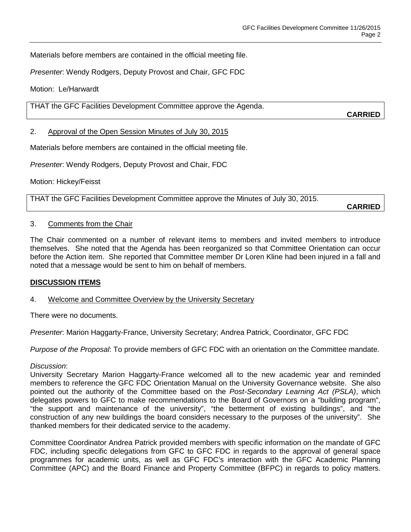Materials before members are contained in the official meeting file.

*Presenter*: Wendy Rodgers, Deputy Provost and Chair, GFC FDC

Motion: Le/Harwardt

THAT the GFC Facilities Development Committee approve the Agenda.

**CARRIED**

### 2. Approval of the Open Session Minutes of July 30, 2015

Materials before members are contained in the official meeting file.

*Presenter*: Wendy Rodgers, Deputy Provost and Chair, FDC

Motion: Hickey/Feisst

THAT the GFC Facilities Development Committee approve the Minutes of July 30, 2015.

**CARRIED**

#### 3. Comments from the Chair

The Chair commented on a number of relevant items to members and invited members to introduce themselves. She noted that the Agenda has been reorganized so that Committee Orientation can occur before the Action item. She reported that Committee member Dr Loren Kline had been injured in a fall and noted that a message would be sent to him on behalf of members.

## **DISCUSSION ITEMS**

## 4. Welcome and Committee Overview by the University Secretary

There were no documents.

*Presenter*: Marion Haggarty-France, University Secretary; Andrea Patrick, Coordinator, GFC FDC

*Purpose of the Proposal*: To provide members of GFC FDC with an orientation on the Committee mandate.

#### *Discussion*:

University Secretary Marion Haggarty-France welcomed all to the new academic year and reminded members to reference the GFC FDC Orientation Manual on the University Governance website. She also pointed out the authority of the Committee based on the *Post-Secondary Learning Act (PSLA)*, which delegates powers to GFC to make recommendations to the Board of Governors on a "building program", "the support and maintenance of the university", "the betterment of existing buildings", and "the construction of any new buildings the board considers necessary to the purposes of the university". She thanked members for their dedicated service to the academy.

Committee Coordinator Andrea Patrick provided members with specific information on the mandate of GFC FDC, including specific delegations from GFC to GFC FDC in regards to the approval of general space programmes for academic units, as well as GFC FDC's interaction with the GFC Academic Planning Committee (APC) and the Board Finance and Property Committee (BFPC) in regards to policy matters.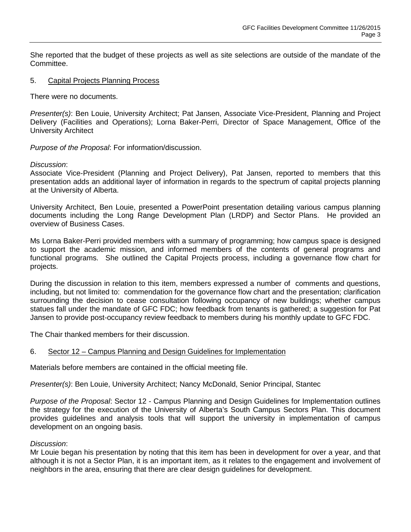She reported that the budget of these projects as well as site selections are outside of the mandate of the Committee.

#### 5. Capital Projects Planning Process

There were no documents.

*Presenter(s)*: Ben Louie, University Architect; Pat Jansen, Associate Vice-President, Planning and Project Delivery (Facilities and Operations); Lorna Baker-Perri, Director of Space Management, Office of the University Architect

*Purpose of the Proposal*: For information/discussion.

#### *Discussion*:

Associate Vice-President (Planning and Project Delivery), Pat Jansen, reported to members that this presentation adds an additional layer of information in regards to the spectrum of capital projects planning at the University of Alberta.

University Architect, Ben Louie, presented a PowerPoint presentation detailing various campus planning documents including the Long Range Development Plan (LRDP) and Sector Plans. He provided an overview of Business Cases.

Ms Lorna Baker-Perri provided members with a summary of programming; how campus space is designed to support the academic mission, and informed members of the contents of general programs and functional programs. She outlined the Capital Projects process, including a governance flow chart for projects.

During the discussion in relation to this item, members expressed a number of comments and questions, including, but not limited to: commendation for the governance flow chart and the presentation; clarification surrounding the decision to cease consultation following occupancy of new buildings; whether campus statues fall under the mandate of GFC FDC; how feedback from tenants is gathered; a suggestion for Pat Jansen to provide post-occupancy review feedback to members during his monthly update to GFC FDC.

The Chair thanked members for their discussion.

## 6. Sector 12 – Campus Planning and Design Guidelines for Implementation

Materials before members are contained in the official meeting file.

*Presenter(s)*: Ben Louie, University Architect; Nancy McDonald, Senior Principal, Stantec

*Purpose of the Proposal*: Sector 12 - Campus Planning and Design Guidelines for Implementation outlines the strategy for the execution of the University of Alberta's South Campus Sectors Plan. This document provides guidelines and analysis tools that will support the university in implementation of campus development on an ongoing basis.

#### *Discussion*:

Mr Louie began his presentation by noting that this item has been in development for over a year, and that although it is not a Sector Plan, it is an important item, as it relates to the engagement and involvement of neighbors in the area, ensuring that there are clear design guidelines for development.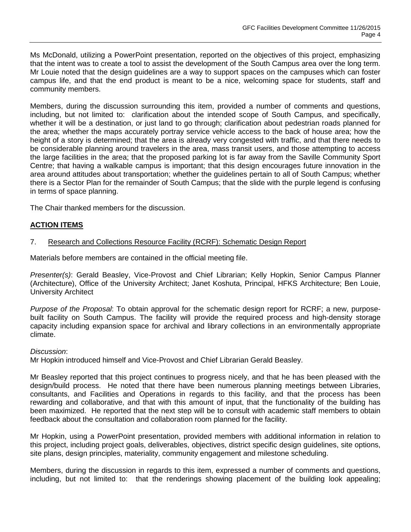Ms McDonald, utilizing a PowerPoint presentation, reported on the objectives of this project, emphasizing that the intent was to create a tool to assist the development of the South Campus area over the long term. Mr Louie noted that the design guidelines are a way to support spaces on the campuses which can foster campus life, and that the end product is meant to be a nice, welcoming space for students, staff and community members.

Members, during the discussion surrounding this item, provided a number of comments and questions, including, but not limited to: clarification about the intended scope of South Campus, and specifically, whether it will be a destination, or just land to go through; clarification about pedestrian roads planned for the area; whether the maps accurately portray service vehicle access to the back of house area; how the height of a story is determined; that the area is already very congested with traffic, and that there needs to be considerable planning around travelers in the area, mass transit users, and those attempting to access the large facilities in the area; that the proposed parking lot is far away from the Saville Community Sport Centre; that having a walkable campus is important; that this design encourages future innovation in the area around attitudes about transportation; whether the guidelines pertain to all of South Campus; whether there is a Sector Plan for the remainder of South Campus; that the slide with the purple legend is confusing in terms of space planning.

The Chair thanked members for the discussion.

# **ACTION ITEMS**

#### 7. Research and Collections Resource Facility (RCRF): Schematic Design Report

Materials before members are contained in the official meeting file.

*Presenter(s)*: Gerald Beasley, Vice-Provost and Chief Librarian; Kelly Hopkin, Senior Campus Planner (Architecture), Office of the University Architect; Janet Koshuta, Principal, HFKS Architecture; Ben Louie, University Architect

*Purpose of the Proposal*: To obtain approval for the schematic design report for RCRF; a new, purposebuilt facility on South Campus. The facility will provide the required process and high-density storage capacity including expansion space for archival and library collections in an environmentally appropriate climate.

#### *Discussion*:

Mr Hopkin introduced himself and Vice-Provost and Chief Librarian Gerald Beasley.

Mr Beasley reported that this project continues to progress nicely, and that he has been pleased with the design/build process. He noted that there have been numerous planning meetings between Libraries, consultants, and Facilities and Operations in regards to this facility, and that the process has been rewarding and collaborative, and that with this amount of input, that the functionality of the building has been maximized. He reported that the next step will be to consult with academic staff members to obtain feedback about the consultation and collaboration room planned for the facility.

Mr Hopkin, using a PowerPoint presentation, provided members with additional information in relation to this project, including project goals, deliverables, objectives, district specific design guidelines, site options, site plans, design principles, materiality, community engagement and milestone scheduling.

Members, during the discussion in regards to this item, expressed a number of comments and questions, including, but not limited to: that the renderings showing placement of the building look appealing;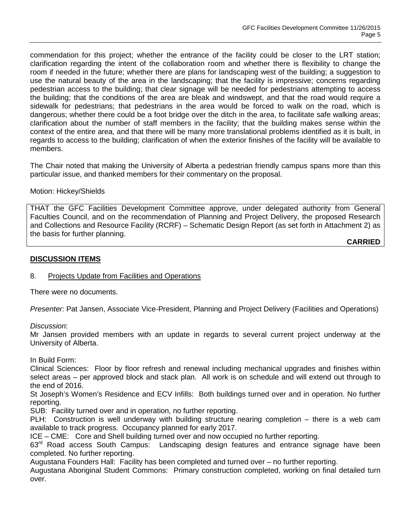commendation for this project; whether the entrance of the facility could be closer to the LRT station; clarification regarding the intent of the collaboration room and whether there is flexibility to change the room if needed in the future; whether there are plans for landscaping west of the building; a suggestion to use the natural beauty of the area in the landscaping; that the facility is impressive; concerns regarding pedestrian access to the building; that clear signage will be needed for pedestrians attempting to access the building; that the conditions of the area are bleak and windswept, and that the road would require a sidewalk for pedestrians; that pedestrians in the area would be forced to walk on the road, which is dangerous; whether there could be a foot bridge over the ditch in the area, to facilitate safe walking areas; clarification about the number of staff members in the facility; that the building makes sense within the context of the entire area, and that there will be many more translational problems identified as it is built, in regards to access to the building; clarification of when the exterior finishes of the facility will be available to members.

The Chair noted that making the University of Alberta a pedestrian friendly campus spans more than this particular issue, and thanked members for their commentary on the proposal.

#### Motion: Hickey/Shields

THAT the GFC Facilities Development Committee approve, under delegated authority from General Faculties Council, and on the recommendation of Planning and Project Delivery, the proposed Research and Collections and Resource Facility (RCRF) – Schematic Design Report (as set forth in Attachment 2) as the basis for further planning.

**CARRIED**

## **DISCUSSION ITEMS**

## 8. Projects Update from Facilities and Operations

There were no documents.

*Presenter*: Pat Jansen, Associate Vice-President, Planning and Project Delivery (Facilities and Operations)

*Discussion*:

Mr Jansen provided members with an update in regards to several current project underway at the University of Alberta.

In Build Form:

Clinical Sciences: Floor by floor refresh and renewal including mechanical upgrades and finishes within select areas – per approved block and stack plan. All work is on schedule and will extend out through to the end of 2016.

St Joseph's Women's Residence and ECV Infills: Both buildings turned over and in operation. No further reporting.

SUB: Facility turned over and in operation, no further reporting.

PLH: Construction is well underway with building structure nearing completion – there is a web cam available to track progress. Occupancy planned for early 2017.

ICE – CME: Core and Shell building turned over and now occupied no further reporting.

63<sup>rd</sup> Road access South Campus: Landscaping design features and entrance signage have been completed. No further reporting.

Augustana Founders Hall: Facility has been completed and turned over – no further reporting.

Augustana Aboriginal Student Commons: Primary construction completed, working on final detailed turn over.